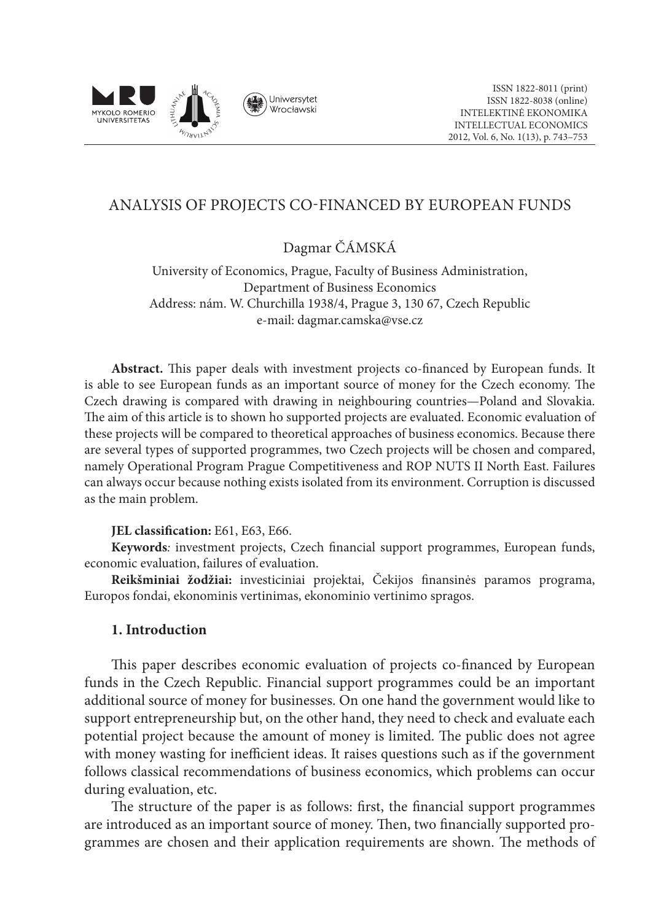

# ANALYSIS OF PROJECTS CO-FINANCED BY EUROPEAN FUNDS

Dagmar Čámská

University of Economics, Prague, Faculty of Business Administration, Department of Business Economics Address: nám. W. Churchilla 1938/4, Prague 3, 130 67, Czech Republic e-mail: dagmar.camska@vse.cz

**Abstract.** This paper deals with investment projects co-financed by European funds. It is able to see European funds as an important source of money for the Czech economy. The Czech drawing is compared with drawing in neighbouring countries—Poland and Slovakia. The aim of this article is to shown ho supported projects are evaluated. Economic evaluation of these projects will be compared to theoretical approaches of business economics. Because there are several types of supported programmes, two Czech projects will be chosen and compared, namely Operational Program Prague Competitiveness and ROP NUTS II North East. Failures can always occur because nothing exists isolated from its environment. Corruption is discussed as the main problem.

#### **JEL classification:** E61, E63, E66.

**Keywords***:* investment projects, Czech financial support programmes, European funds, economic evaluation, failures of evaluation.

**Reikšminiai žodžiai:** investiciniai projektai, Čekijos finansinės paramos programa, Europos fondai, ekonominis vertinimas, ekonominio vertinimo spragos.

#### **1. Introduction**

This paper describes economic evaluation of projects co-financed by European funds in the Czech Republic. Financial support programmes could be an important additional source of money for businesses. On one hand the government would like to support entrepreneurship but, on the other hand, they need to check and evaluate each potential project because the amount of money is limited. The public does not agree with money wasting for inefficient ideas. It raises questions such as if the government follows classical recommendations of business economics, which problems can occur during evaluation, etc.

The structure of the paper is as follows: first, the financial support programmes are introduced as an important source of money. Then, two financially supported programmes are chosen and their application requirements are shown. The methods of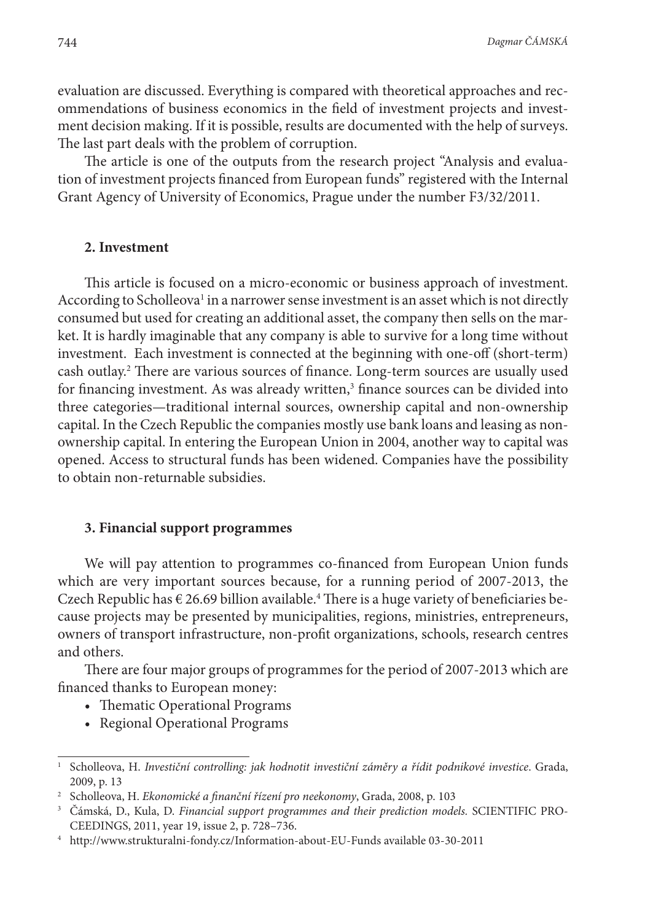evaluation are discussed. Everything is compared with theoretical approaches and recommendations of business economics in the field of investment projects and investment decision making. If it is possible, results are documented with the help of surveys. The last part deals with the problem of corruption.

The article is one of the outputs from the research project "Analysis and evaluation of investment projects financed from European funds" registered with the Internal Grant Agency of University of Economics, Prague under the number F3/32/2011.

#### **2. Investment**

This article is focused on a micro-economic or business approach of investment. According to Scholleova<sup>1</sup> in a narrower sense investment is an asset which is not directly consumed but used for creating an additional asset, the company then sells on the market. It is hardly imaginable that any company is able to survive for a long time without investment. Each investment is connected at the beginning with one-off (short-term) cash outlay.2 There are various sources of finance. Long-term sources are usually used for financing investment. As was already written, $3$  finance sources can be divided into three categories—traditional internal sources, ownership capital and non-ownership capital. In the Czech Republic the companies mostly use bank loans and leasing as nonownership capital. In entering the European Union in 2004, another way to capital was opened. Access to structural funds has been widened. Companies have the possibility to obtain non-returnable subsidies.

#### **3. Financial support programmes**

We will pay attention to programmes co-financed from European Union funds which are very important sources because, for a running period of 2007-2013, the Czech Republic has  $\epsilon$  26.69 billion available.<sup>4</sup> There is a huge variety of beneficiaries because projects may be presented by municipalities, regions, ministries, entrepreneurs, owners of transport infrastructure, non-profit organizations, schools, research centres and others.

There are four major groups of programmes for the period of 2007-2013 which are financed thanks to European money:

- Thematic Operational Programs
- Regional Operational Programs

<sup>&</sup>lt;sup>1</sup> Scholleova, H. *Investiční controlling: jak hodnotit investiční záměry a řídit podnikové investice. Grada,* 2009, p. 13

<sup>2</sup> Scholleova, H. *Ekonomické a finanční řízení pro neekonomy*, Grada, 2008, p. 103

<sup>3</sup> Čámská, D., Kula, D. *Financial support programmes and their prediction models.* SCIENTIFIC PRO-CEEDINGS, 2011, year 19, issue 2, p. 728–736.

<sup>4</sup> http://www.strukturalni-fondy.cz/Information-about-EU-Funds available 03-30-2011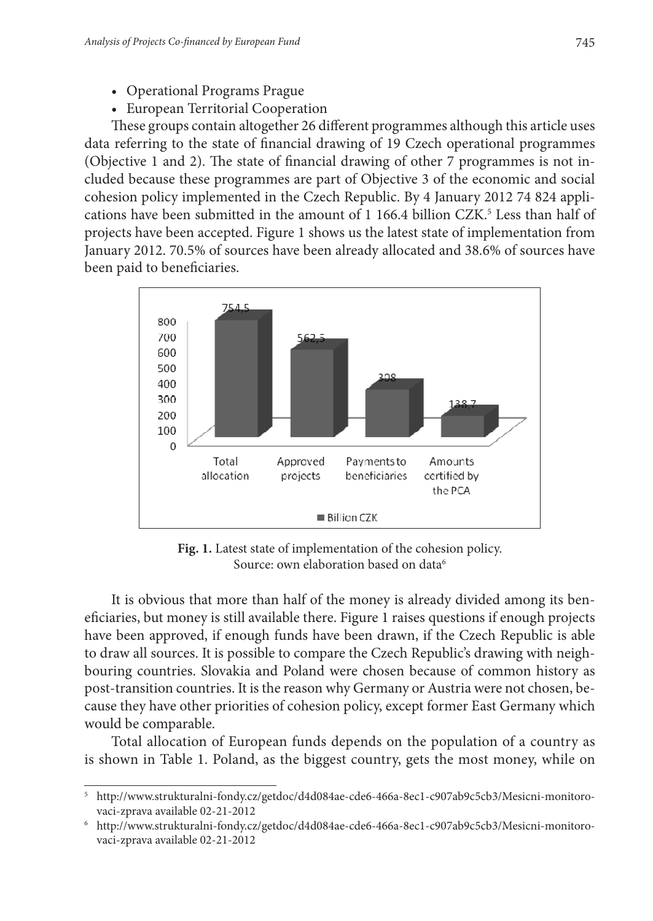- Operational Programs Prague
- European Territorial Cooperation

These groups contain altogether 26 different programmes although this article uses data referring to the state of financial drawing of 19 Czech operational programmes (Objective 1 and 2). The state of financial drawing of other 7 programmes is not included because these programmes are part of Objective 3 of the economic and social cohesion policy implemented in the Czech Republic. By 4 January 2012 74 824 applications have been submitted in the amount of 1 166.4 billion CZK.<sup>5</sup> Less than half of projects have been accepted. Figure 1 shows us the latest state of implementation from January 2012. 70.5% of sources have been already allocated and 38.6% of sources have been paid to beneficiaries.



Source: own elaboration based on data<sup>6</sup> **Fig. 1.** Latest state of implementation of the cohesion policy.

It is obvious that more than half of the money is already divided among its beneficiaries, but money is still available there. Figure 1 raises questions if enough projects have been approved, if enough funds have been drawn, if the Czech Republic is able to draw all sources. It is possible to compare the Czech Republic's drawing with neighbouring countries. Slovakia and Poland were chosen because of common history as post-transition countries. It is the reason why Germany or Austria were not chosen, because they have other priorities of cohesion policy, except former East Germany which would be comparable.

Total allocation of European funds depends on the population of a country as is shown in Table 1. Poland, as the biggest country, gets the most money, while on

<sup>5</sup> http://www.strukturalni-fondy.cz/getdoc/d4d084ae-cde6-466a-8ec1-c907ab9c5cb3/Mesicni-monitorovaci-zprava available 02-21-2012

<sup>6</sup> http://www.strukturalni-fondy.cz/getdoc/d4d084ae-cde6-466a-8ec1-c907ab9c5cb3/Mesicni-monitorovaci-zprava available 02-21-2012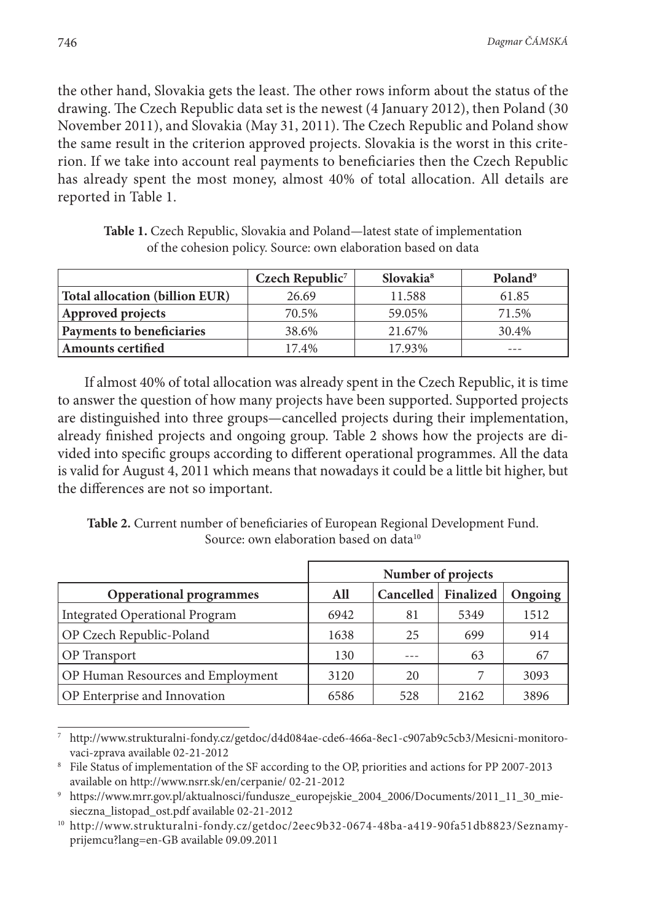the other hand, Slovakia gets the least. The other rows inform about the status of the drawing. The Czech Republic data set is the newest (4 January 2012), then Poland (30 November 2011), and Slovakia (May 31, 2011). The Czech Republic and Poland show the same result in the criterion approved projects. Slovakia is the worst in this criterion. If we take into account real payments to beneficiaries then the Czech Republic has already spent the most money, almost 40% of total allocation. All details are reported in Table 1.

|                                | Czech Republic <sup>7</sup> | Slovakia <sup>8</sup> | Poland <sup>9</sup> |
|--------------------------------|-----------------------------|-----------------------|---------------------|
| Total allocation (billion EUR) | 26.69                       | 11.588                | 61.85               |
| Approved projects              | 70.5%                       | 59.05%                | 71.5%               |
| Payments to beneficiaries      | 38.6%                       | 21.67%                | 30.4%               |
| <b>Amounts certified</b>       | 17.4%                       | 17.93%                | ---                 |

**Table 1.** Czech Republic, Slovakia and Poland—latest state of implementation of the cohesion policy. Source: own elaboration based on data

If almost 40% of total allocation was already spent in the Czech Republic, it is time to answer the question of how many projects have been supported. Supported projects are distinguished into three groups—cancelled projects during their implementation, already finished projects and ongoing group. Table 2 shows how the projects are divided into specific groups according to different operational programmes. All the data is valid for August 4, 2011 which means that nowadays it could be a little bit higher, but the differences are not so important.

**Table 2.** Current number of beneficiaries of European Regional Development Fund. Source: own elaboration based on data<sup>10</sup>

|                                          | Number of projects |           |           |         |  |
|------------------------------------------|--------------------|-----------|-----------|---------|--|
| <b>Opperational programmes</b>           | All                | Cancelled | Finalized | Ongoing |  |
| Integrated Operational Program           | 6942               | 81        | 5349      | 1512    |  |
| OP Czech Republic-Poland                 | 1638               | 25        | 699       | 914     |  |
| <b>OP</b> Transport                      | 130                |           | 63        | 67      |  |
| <b>OP Human Resources and Employment</b> | 3120               | 20        |           | 3093    |  |
| <b>OP</b> Enterprise and Innovation      | 6586               | 528       | 2162      | 3896    |  |

<sup>7</sup> http://www.strukturalni-fondy.cz/getdoc/d4d084ae-cde6-466a-8ec1-c907ab9c5cb3/Mesicni-monitorovaci-zprava available 02-21-2012

<sup>8</sup> File Status of implementation of the SF according to the OP, priorities and actions for PP 2007-2013 available on http://www.nsrr.sk/en/cerpanie/ 02-21-2012

<sup>9</sup> https://www.mrr.gov.pl/aktualnosci/fundusze\_europejskie\_2004\_2006/Documents/2011\_11\_30\_miesieczna\_listopad\_ost.pdf available 02-21-2012

<sup>10</sup> http://www.strukturalni-fondy.cz/getdoc/2eec9b32-0674-48ba-a419-90fa51db8823/Seznamyprijemcu?lang=en-GB available 09.09.2011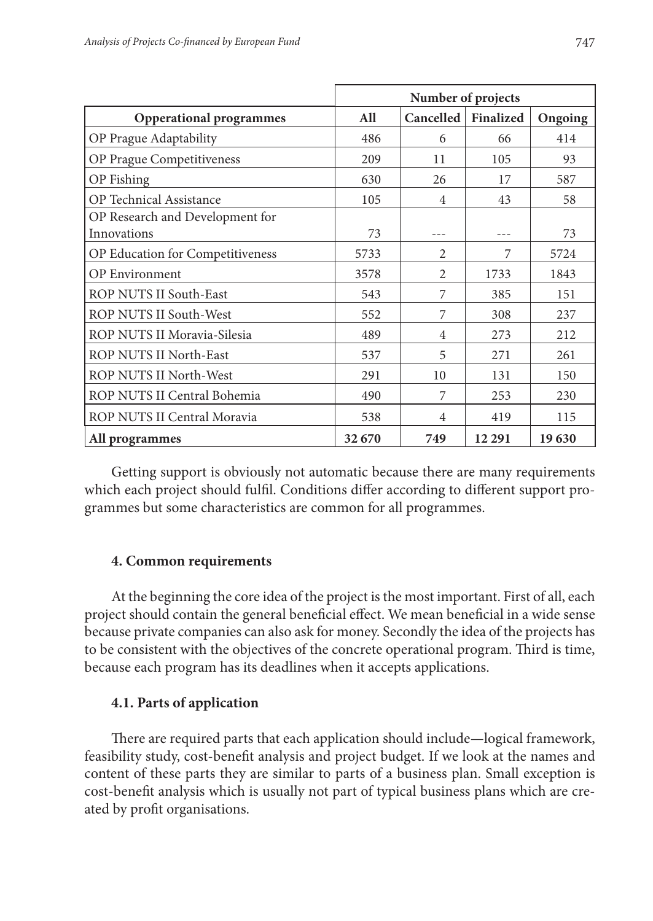|                                                       | Number of projects |                |           |         |  |
|-------------------------------------------------------|--------------------|----------------|-----------|---------|--|
| <b>Opperational programmes</b>                        | All                | Cancelled      | Finalized | Ongoing |  |
| OP Prague Adaptability                                | 486                | 6              | 66        | 414     |  |
| OP Prague Competitiveness                             | 209                | 11             | 105       | 93      |  |
| OP Fishing                                            | 630                | 26             | 17        | 587     |  |
| <b>OP</b> Technical Assistance                        | 105                | 4              | 43        | 58      |  |
| OP Research and Development for<br><b>Innovations</b> | 73                 |                |           | 73      |  |
| OP Education for Competitiveness                      | 5733               | $\mathfrak{D}$ | 7         | 5724    |  |
| <b>OP</b> Environment                                 | 3578               | $\mathfrak{D}$ | 1733      | 1843    |  |
| ROP NUTS II South-East                                | 543                | 7              | 385       | 151     |  |
| <b>ROP NUTS II South-West</b>                         | 552                | 7              | 308       | 237     |  |
| ROP NUTS II Moravia-Silesia                           | 489                | $\overline{4}$ | 273       | 212     |  |
| ROP NUTS II North-East                                | 537                | 5              | 271       | 261     |  |
| ROP NUTS II North-West                                | 291                | 10             | 131       | 150     |  |
| ROP NUTS II Central Bohemia                           | 490                | 7              | 253       | 230     |  |
| ROP NUTS II Central Moravia                           | 538                | 4              | 419       | 115     |  |
| All programmes                                        | 32 670             | 749            | 12 29 1   | 19630   |  |

Getting support is obviously not automatic because there are many requirements which each project should fulfil. Conditions differ according to different support programmes but some characteristics are common for all programmes.

## **4. Common requirements**

At the beginning the core idea of the project is the most important. First of all, each project should contain the general beneficial effect. We mean beneficial in a wide sense because private companies can also ask for money. Secondly the idea of the projects has to be consistent with the objectives of the concrete operational program. Third is time, because each program has its deadlines when it accepts applications.

## **4.1. Parts of application**

There are required parts that each application should include—logical framework, feasibility study, cost-benefit analysis and project budget. If we look at the names and content of these parts they are similar to parts of a business plan. Small exception is cost-benefit analysis which is usually not part of typical business plans which are created by profit organisations.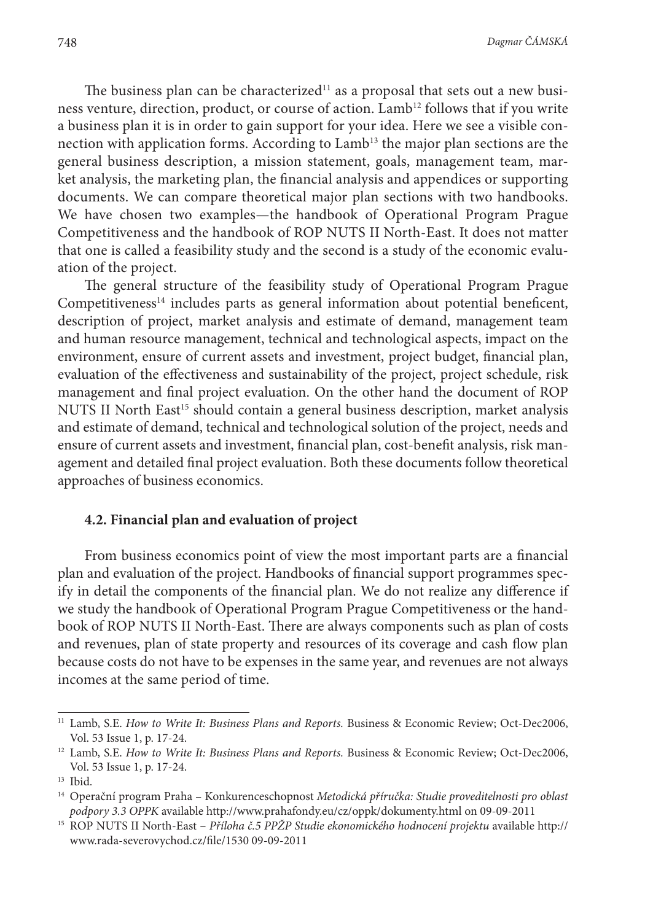The business plan can be characterized<sup>11</sup> as a proposal that sets out a new business venture, direction, product, or course of action. Lamb<sup>12</sup> follows that if you write a business plan it is in order to gain support for your idea. Here we see a visible connection with application forms. According to Lamb<sup>13</sup> the major plan sections are the general business description, a mission statement, goals, management team, market analysis, the marketing plan, the financial analysis and appendices or supporting documents. We can compare theoretical major plan sections with two handbooks. We have chosen two examples—the handbook of Operational Program Prague Competitiveness and the handbook of ROP NUTS II North-East. It does not matter that one is called a feasibility study and the second is a study of the economic evaluation of the project.

The general structure of the feasibility study of Operational Program Prague Competitiveness $14$  includes parts as general information about potential beneficent, description of project, market analysis and estimate of demand, management team and human resource management, technical and technological aspects, impact on the environment, ensure of current assets and investment, project budget, financial plan, evaluation of the effectiveness and sustainability of the project, project schedule, risk management and final project evaluation. On the other hand the document of ROP NUTS II North East<sup>15</sup> should contain a general business description, market analysis and estimate of demand, technical and technological solution of the project, needs and ensure of current assets and investment, financial plan, cost-benefit analysis, risk management and detailed final project evaluation. Both these documents follow theoretical approaches of business economics.

### **4.2. Financial plan and evaluation of project**

From business economics point of view the most important parts are a financial plan and evaluation of the project. Handbooks of financial support programmes specify in detail the components of the financial plan. We do not realize any difference if we study the handbook of Operational Program Prague Competitiveness or the handbook of ROP NUTS II North-East. There are always components such as plan of costs and revenues, plan of state property and resources of its coverage and cash flow plan because costs do not have to be expenses in the same year, and revenues are not always incomes at the same period of time.

<sup>11</sup> Lamb, S.E. *How to Write It: Business Plans and Reports.* Business & Economic Review; Oct-Dec2006, Vol. 53 Issue 1, p. 17-24.

<sup>&</sup>lt;sup>12</sup> Lamb, S.E. *How to Write It: Business Plans and Reports*. Business & Economic Review; Oct-Dec2006, Vol. 53 Issue 1, p. 17-24.

<sup>13</sup> Ibid.

<sup>14</sup> Operační program Praha – Konkurenceschopnost *Metodická příručka: Studie proveditelnosti pro oblast podpory 3.3 OPPK* available http://www.prahafondy.eu/cz/oppk/dokumenty.html on 09-09-2011

<sup>15</sup> ROP NUTS II North-East – *Příloha č.5 PPŽP Studie ekonomického hodnocení projektu* available http:// www.rada-severovychod.cz/file/1530 09-09-2011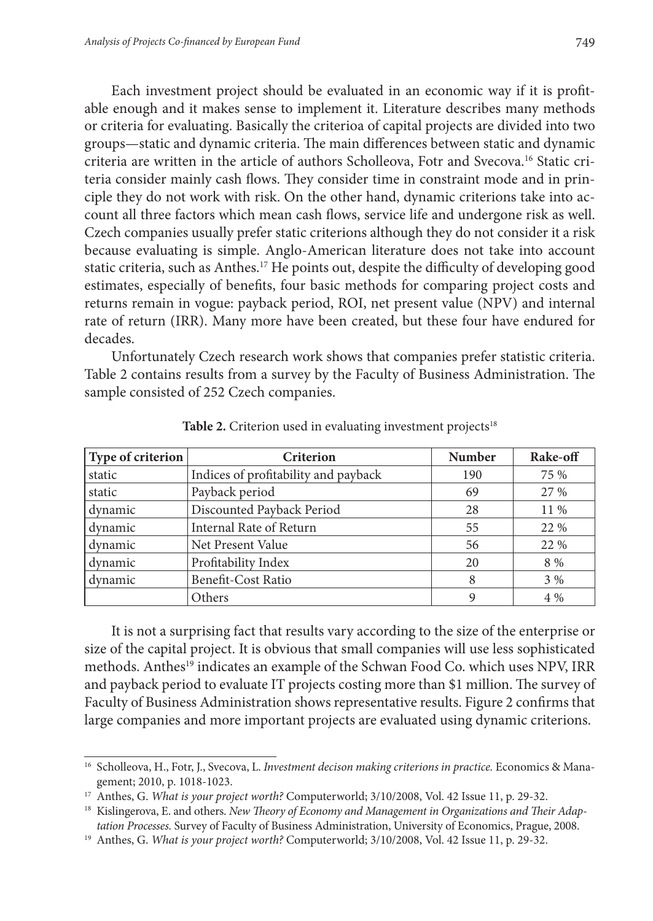Each investment project should be evaluated in an economic way if it is profitable enough and it makes sense to implement it. Literature describes many methods or criteria for evaluating. Basically the criterioa of capital projects are divided into two groups—static and dynamic criteria. The main differences between static and dynamic criteria are written in the article of authors Scholleova, Fotr and Svecova.<sup>16</sup> Static criteria consider mainly cash flows. They consider time in constraint mode and in principle they do not work with risk. On the other hand, dynamic criterions take into account all three factors which mean cash flows, service life and undergone risk as well. Czech companies usually prefer static criterions although they do not consider it a risk because evaluating is simple. Anglo-American literature does not take into account static criteria, such as Anthes.17 He points out, despite the difficulty of developing good estimates, especially of benefits, four basic methods for comparing project costs and returns remain in vogue: payback period, ROI, net present value (NPV) and internal rate of return (IRR). Many more have been created, but these four have endured for decades.

Unfortunately Czech research work shows that companies prefer statistic criteria. Table 2 contains results from a survey by the Faculty of Business Administration. The sample consisted of 252 Czech companies.

| Type of criterion | Criterion                            | <b>Number</b> | Rake-off |
|-------------------|--------------------------------------|---------------|----------|
| static            | Indices of profitability and payback | 190           | 75 %     |
| static            | Payback period                       | 69            | 27 %     |
| dynamic           | Discounted Payback Period            | 28            | 11 %     |
| dynamic           | Internal Rate of Return              | 55            | 22 %     |
| dynamic           | Net Present Value                    | 56            | 22 %     |
| dynamic           | Profitability Index                  | 20            | 8 %      |
| dynamic           | Benefit-Cost Ratio                   | 8             | $3\%$    |
|                   | Others                               | a             | $4\%$    |

Table 2. Criterion used in evaluating investment projects<sup>18</sup>

It is not a surprising fact that results vary according to the size of the enterprise or size of the capital project. It is obvious that small companies will use less sophisticated methods. Anthes<sup>19</sup> indicates an example of the Schwan Food Co. which uses NPV, IRR and payback period to evaluate IT projects costing more than \$1 million. The survey of Faculty of Business Administration shows representative results. Figure 2 confirms that large companies and more important projects are evaluated using dynamic criterions.

<sup>16</sup> Scholleova, H., Fotr, J., Svecova, L. *Investment decison making criterions in practice.* Economics & Management; 2010, p. 1018-1023.

<sup>&</sup>lt;sup>17</sup> Anthes, G. *What is your project worth?* Computerworld; 3/10/2008, Vol. 42 Issue 11, p. 29-32.<br><sup>18</sup> Kislingerova, E. and others. *New Theory of Economy and Management in Organizations and Their Adaptation Processes.* Survey of Faculty of Business Administration, University of Economics, Prague, 2008.

<sup>19</sup> Anthes, G. *What is your project worth?* Computerworld; 3/10/2008, Vol. 42 Issue 11, p. 29-32.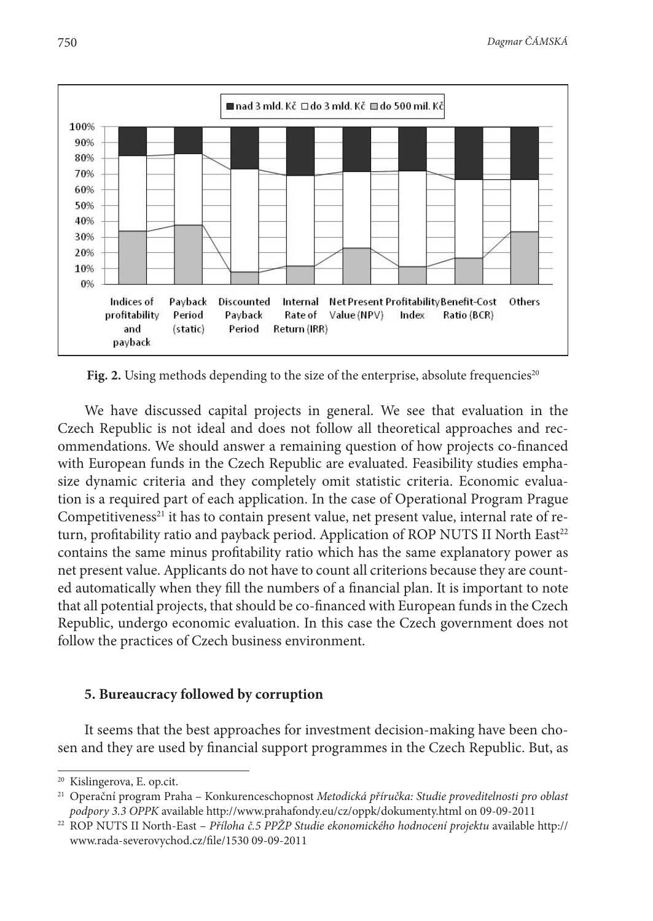

Fig. 2. Using methods depending to the size of the enterprise, absolute frequencies<sup>20</sup>

We have discussed capital projects in general. We see that evaluation in the Czech Republic is not ideal and does not follow all theoretical approaches and recommendations. We should answer a remaining question of how projects co-financed with European funds in the Czech Republic are evaluated. Feasibility studies emphasize dynamic criteria and they completely omit statistic criteria. Economic evaluation is a required part of each application. In the case of Operational Program Prague Competitiveness<sup>21</sup> it has to contain present value, net present value, internal rate of return, profitability ratio and payback period. Application of ROP NUTS II North East $t^2$ contains the same minus profitability ratio which has the same explanatory power as net present value. Applicants do not have to count all criterions because they are counted automatically when they fill the numbers of a financial plan. It is important to note that all potential projects, that should be co-financed with European funds in the Czech Republic, undergo economic evaluation. In this case the Czech government does not follow the practices of Czech business environment.

#### **5. Bureaucracy followed by corruption**

It seems that the best approaches for investment decision-making have been chosen and they are used by financial support programmes in the Czech Republic. But, as

<sup>20</sup> Kislingerova, E. op.cit.

<sup>21</sup> Operační program Praha – Konkurenceschopnost *Metodická příručka: Studie proveditelnosti pro oblast podpory 3.3 OPPK* available http://www.prahafondy.eu/cz/oppk/dokumenty.html on 09-09-2011

<sup>22</sup> ROP NUTS II North-East – *Příloha č.5 PPŽP Studie ekonomického hodnocení projektu* available http:// www.rada-severovychod.cz/file/1530 09-09-2011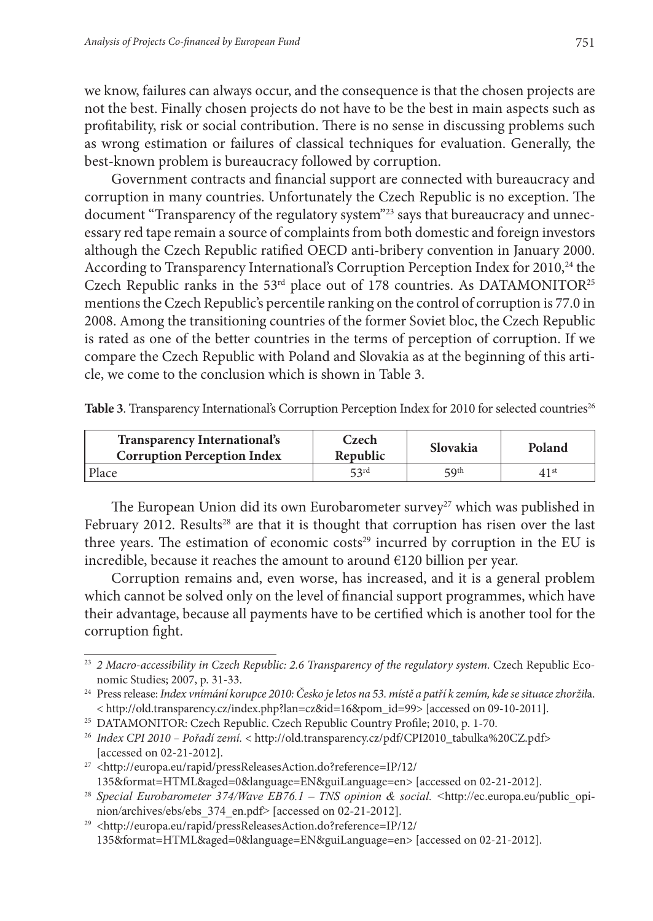we know, failures can always occur, and the consequence is that the chosen projects are not the best. Finally chosen projects do not have to be the best in main aspects such as profitability, risk or social contribution. There is no sense in discussing problems such as wrong estimation or failures of classical techniques for evaluation. Generally, the best-known problem is bureaucracy followed by corruption.

Government contracts and financial support are connected with bureaucracy and corruption in many countries. Unfortunately the Czech Republic is no exception. The document "Transparency of the regulatory system"<sup>23</sup> says that bureaucracy and unnecessary red tape remain a source of complaints from both domestic and foreign investors although the Czech Republic ratified OECD anti-bribery convention in January 2000. According to Transparency International's Corruption Perception Index for 2010,<sup>24</sup> the Czech Republic ranks in the 53<sup>rd</sup> place out of 178 countries. As DATAMONITOR<sup>25</sup> mentions the Czech Republic's percentile ranking on the control of corruption is 77.0 in 2008. Among the transitioning countries of the former Soviet bloc, the Czech Republic is rated as one of the better countries in the terms of perception of corruption. If we compare the Czech Republic with Poland and Slovakia as at the beginning of this article, we come to the conclusion which is shown in Table 3.

|  |  | Table 3. Transparency International's Corruption Perception Index for 2010 for selected countries <sup>26</sup> |  |  |  |  |  |  |
|--|--|-----------------------------------------------------------------------------------------------------------------|--|--|--|--|--|--|
|--|--|-----------------------------------------------------------------------------------------------------------------|--|--|--|--|--|--|

| <b>Transparency International's</b><br><b>Corruption Perception Index</b> | Czech<br>Republic | Slovakia        | Poland           |
|---------------------------------------------------------------------------|-------------------|-----------------|------------------|
| Place                                                                     | 53rd              | $\mathbf{Q}$ th | 41 <sup>st</sup> |

The European Union did its own Eurobarometer survey<sup>27</sup> which was published in February 2012. Results<sup>28</sup> are that it is thought that corruption has risen over the last three years. The estimation of economic costs $29$  incurred by corruption in the EU is incredible, because it reaches the amount to around €120 billion per year.

Corruption remains and, even worse, has increased, and it is a general problem which cannot be solved only on the level of financial support programmes, which have their advantage, because all payments have to be certified which is another tool for the corruption fight.

 $^{29}$  <http://europa.eu/rapid/pressReleasesAction.do?reference=IP/12/  $\,$ 135&format=HTML&aged=0&language=EN&guiLanguage=en> [accessed on 02-21-2012].

<sup>23</sup> *2 Macro-accessibility in Czech Republic: 2.6 Transparency of the regulatory system.* Czech Republic Economic Studies; 2007, p. 31-33.

<sup>24</sup> Press release: *Index vnímání korupce 2010: Česko je letos na 53. místě a patří k zemím, kde se situace zhoržil*a. < http://old.transparency.cz/index.php?lan=cz&id=16&pom\_id=99> [accessed on 09-10-2011].

<sup>&</sup>lt;sup>25</sup> DATAMONITOR: Czech Republic. Czech Republic Country Profile; 2010, p. 1-70.

<sup>26</sup> *Index CPI 2010 – Pořadí zemí.* < http://old.transparency.cz/pdf/CPI2010\_tabulka%20CZ.pdf> [accessed on 02-21-2012].

<sup>27</sup> <http://europa.eu/rapid/pressReleasesAction.do?reference=IP/12/ 135&format=HTML&aged=0&language=EN&guiLanguage=en> [accessed on 02-21-2012].

<sup>28</sup> *Special Eurobarometer 374/Wave EB76.1 – TNS opinion & social. <*http://ec.europa.eu/public\_opinion/archives/ebs/ebs\_374\_en.pdf> [accessed on 02-21-2012].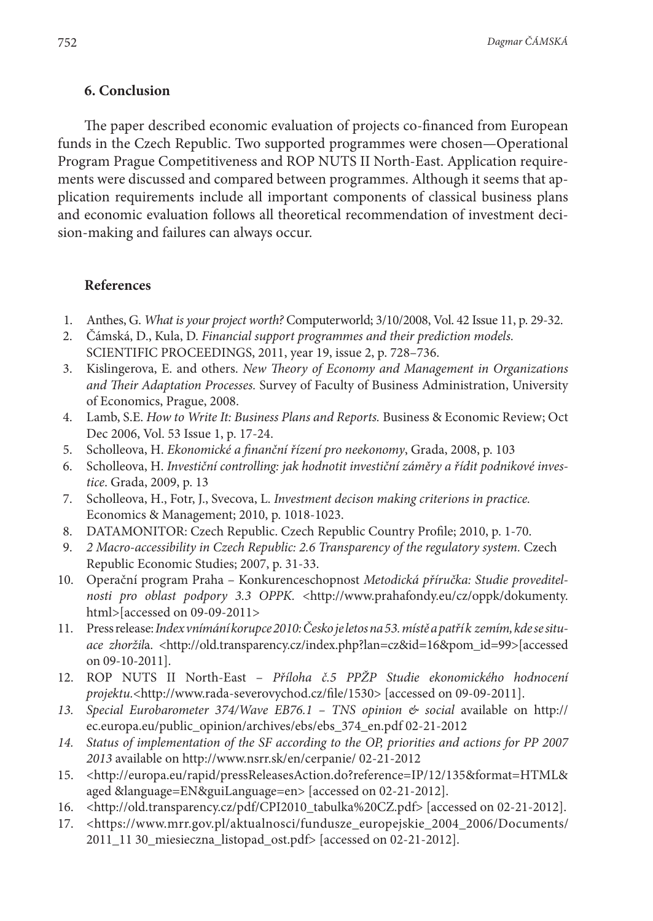### **6. Conclusion**

The paper described economic evaluation of projects co-financed from European funds in the Czech Republic. Two supported programmes were chosen—Operational Program Prague Competitiveness and ROP NUTS II North-East. Application requirements were discussed and compared between programmes. Although it seems that application requirements include all important components of classical business plans and economic evaluation follows all theoretical recommendation of investment decision-making and failures can always occur.

### **References**

- 1. Anthes, G. *What is your project worth?* Computerworld; 3/10/2008, Vol. 42 Issue 11, p. 29-32.
- 2. Čámská, D., Kula, D. *Financial support programmes and their prediction models.* SCIENTIFIC PROCEEDINGS, 2011, year 19, issue 2, p. 728–736.
- 3. Kislingerova, E. and others. *New Theory of Economy and Management in Organizations and Their Adaptation Processes.* Survey of Faculty of Business Administration, University of Economics, Prague, 2008.
- 4. Lamb, S.E. *How to Write It: Business Plans and Reports.* Business & Economic Review; Oct Dec 2006, Vol. 53 Issue 1, p. 17-24.
- 5. Scholleova, H. *Ekonomické a finanční řízení pro neekonomy*, Grada, 2008, p. 103
- 6. Scholleova, H. *Investiční controlling: jak hodnotit investiční záměry a řídit podnikové investice*. Grada, 2009, p. 13
- 7. Scholleova, H., Fotr, J., Svecova, L. *Investment decison making criterions in practice.* Economics & Management; 2010, p. 1018-1023.
- 8. DATAMONITOR: Czech Republic. Czech Republic Country Profile; 2010, p. 1-70.
- 9. *2 Macro-accessibility in Czech Republic: 2.6 Transparency of the regulatory system.* Czech Republic Economic Studies; 2007, p. 31-33.
- 10. Operační program Praha Konkurenceschopnost *Metodická příručka: Studie proveditelnosti pro oblast podpory 3.3 OPPK.* <http://www.prahafondy.eu/cz/oppk/dokumenty. html>[accessed on 09-09-2011>
- 11. Press release: *Index vnímání korupce 2010: Česko je letos na 53. místě a patří k zemím, kde se situace zhoržil*a. <http://old.transparency.cz/index.php?lan=cz&id=16&pom\_id=99>[accessed on 09-10-2011].
- 12. ROP NUTS II North-East *Příloha č.5 PPŽP Studie ekonomického hodnocení projektu.*<http://www.rada-severovychod.cz/file/1530> [accessed on 09-09-2011].
- *13. Special Eurobarometer 374/Wave EB76.1 TNS opinion & social* available on http:// ec.europa.eu/public\_opinion/archives/ebs/ebs\_374\_en.pdf 02-21-2012
- *14. Status of implementation of the SF according to the OP, priorities and actions for PP 2007 2013* available on http://www.nsrr.sk/en/cerpanie/ 02-21-2012
- 15. <http://europa.eu/rapid/pressReleasesAction.do?reference=IP/12/135&format=HTML& aged &language=EN&guiLanguage=en> [accessed on 02-21-2012].
- 16. <http://old.transparency.cz/pdf/CPI2010\_tabulka%20CZ.pdf> [accessed on 02-21-2012].
- 17. <https://www.mrr.gov.pl/aktualnosci/fundusze\_europejskie\_2004\_2006/Documents/ 2011\_11 30\_miesieczna\_listopad\_ost.pdf> [accessed on 02-21-2012].